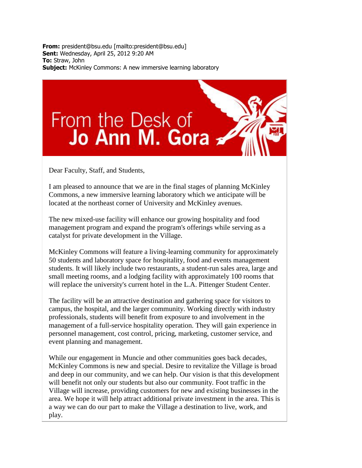**From:** president@bsu.edu [mailto:president@bsu.edu] **Sent:** Wednesday, April 25, 2012 9:20 AM **To:** Straw, John **Subject:** McKinley Commons: A new immersive learning laboratory

## From the Desk of<br>Jo Ann M. Gora

Dear Faculty, Staff, and Students,

I am pleased to announce that we are in the final stages of planning McKinley Commons, a new immersive learning laboratory which we anticipate will be located at the northeast corner of University and McKinley avenues.

The new mixed-use facility will enhance our growing hospitality and food management program and expand the program's offerings while serving as a catalyst for private development in the Village.

McKinley Commons will feature a living-learning community for approximately 50 students and laboratory space for hospitality, food and events management students. It will likely include two restaurants, a student-run sales area, large and small meeting rooms, and a lodging facility with approximately 100 rooms that will replace the university's current hotel in the L.A. Pittenger Student Center.

The facility will be an attractive destination and gathering space for visitors to campus, the hospital, and the larger community. Working directly with industry professionals, students will benefit from exposure to and involvement in the management of a full-service hospitality operation. They will gain experience in personnel management, cost control, pricing, marketing, customer service, and event planning and management.

While our engagement in Muncie and other communities goes back decades, McKinley Commons is new and special. Desire to revitalize the Village is broad and deep in our community, and we can help. Our vision is that this development will benefit not only our students but also our community. Foot traffic in the Village will increase, providing customers for new and existing businesses in the area. We hope it will help attract additional private investment in the area. This is a way we can do our part to make the Village a destination to live, work, and play.